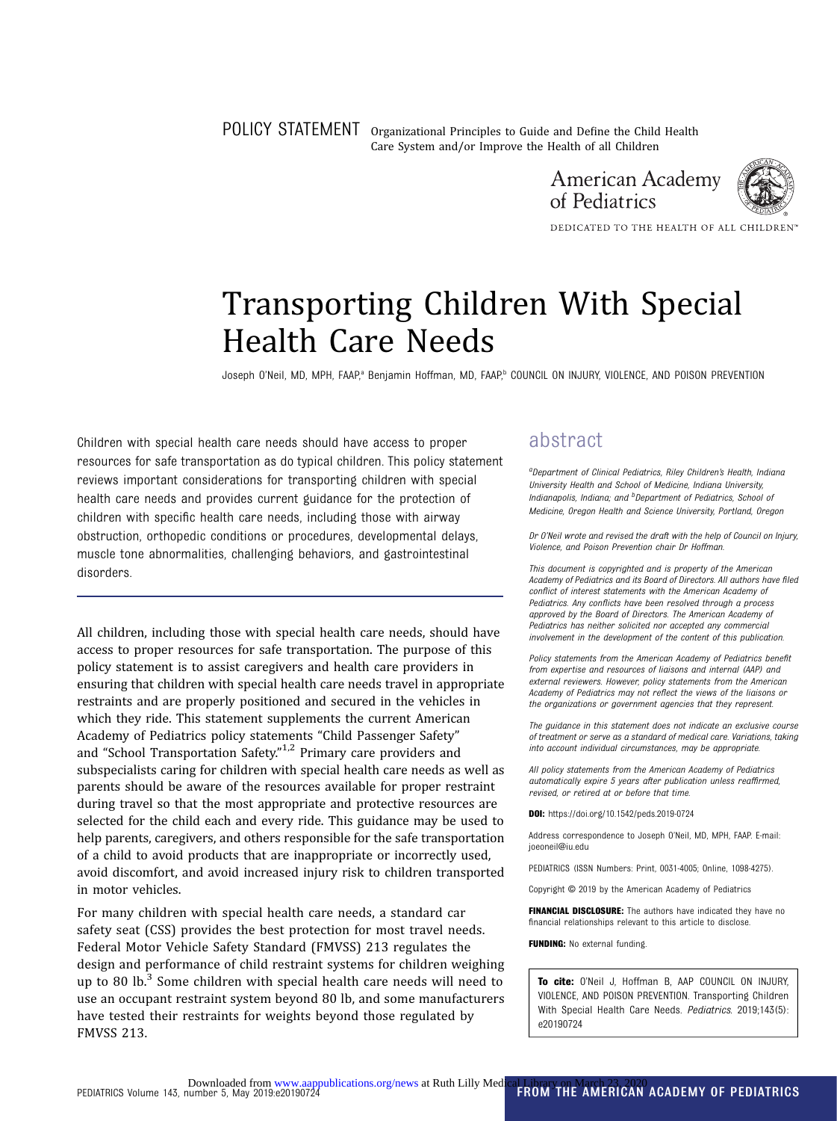POLICY STATEMENT Organizational Principles to Guide and Define the Child Health Care System and/or Improve the Health of all Children





DEDICATED TO THE HEALTH OF ALL CHILDREN'

# Transporting Children With Special Health Care Needs

Joseph O'Neil, MD, MPH, FAAP,<sup>a</sup> Benjamin Hoffman, MD, FAAP,<sup>b</sup> COUNCIL ON INJURY, VIOLENCE, AND POISON PREVENTION

Children with special health care needs should have access to proper  $a\bar{b}$  abstract resources for safe transportation as do typical children. This policy statement reviews important considerations for transporting children with special health care needs and provides current guidance for the protection of children with specific health care needs, including those with airway obstruction, orthopedic conditions or procedures, developmental delays, muscle tone abnormalities, challenging behaviors, and gastrointestinal disorders.

All children, including those with special health care needs, should have access to proper resources for safe transportation. The purpose of this policy statement is to assist caregivers and health care providers in ensuring that children with special health care needs travel in appropriate restraints and are properly positioned and secured in the vehicles in which they ride. This statement supplements the current American Academy of Pediatrics policy statements "Child Passenger Safety" and "School Transportation Safety."<sup>[1](#page-6-0),[2](#page-6-0)</sup> Primary care providers and subspecialists caring for children with special health care needs as well as parents should be aware of the resources available for proper restraint during travel so that the most appropriate and protective resources are selected for the child each and every ride. This guidance may be used to help parents, caregivers, and others responsible for the safe transportation of a child to avoid products that are inappropriate or incorrectly used, avoid discomfort, and avoid increased injury risk to children transported in motor vehicles.

For many children with special health care needs, a standard car safety seat (CSS) provides the best protection for most travel needs. Federal Motor Vehicle Safety Standard (FMVSS) 213 regulates the design and performance of child restraint systems for children weighing up to 80 lb.<sup>[3](#page-6-0)</sup> Some children with special health care needs will need to use an occupant restraint system beyond 80 lb, and some manufacturers have tested their restraints for weights beyond those regulated by FMVSS 213.

<sup>a</sup>Department of Clinical Pediatrics, Riley Children's Health, Indiana University Health and School of Medicine, Indiana University, Indianapolis, Indiana; and <sup>b</sup>Department of Pediatrics, School of Medicine, Oregon Health and Science University, Portland, Oregon

Dr O'Neil wrote and revised the draft with the help of Council on Injury, Violence, and Poison Prevention chair Dr Hoffman.

This document is copyrighted and is property of the American Academy of Pediatrics and its Board of Directors. All authors have filed conflict of interest statements with the American Academy of Pediatrics. Any conflicts have been resolved through a process approved by the Board of Directors. The American Academy of Pediatrics has neither solicited nor accepted any commercial involvement in the development of the content of this publication.

Policy statements from the American Academy of Pediatrics benefit from expertise and resources of liaisons and internal (AAP) and external reviewers. However, policy statements from the American Academy of Pediatrics may not reflect the views of the liaisons or the organizations or government agencies that they represent.

The guidance in this statement does not indicate an exclusive course of treatment or serve as a standard of medical care. Variations, taking into account individual circumstances, may be appropriate.

All policy statements from the American Academy of Pediatrics automatically expire 5 years after publication unless reaffirmed, revised, or retired at or before that time.

DOI: <https://doi.org/10.1542/peds.2019-0724>

Address correspondence to Joseph O'Neil, MD, MPH, FAAP. E-mail: [joeoneil@iu.edu](mailto:joeoneil@iu.edu)

PEDIATRICS (ISSN Numbers: Print, 0031-4005; Online, 1098-4275).

Copyright © 2019 by the American Academy of Pediatrics

FINANCIAL DISCLOSURE: The authors have indicated they have no financial relationships relevant to this article to disclose.

FUNDING: No external funding.

To cite: O'Neil J, Hoffman B, AAP COUNCIL ON INJURY, VIOLENCE, AND POISON PREVENTION. Transporting Children With Special Health Care Needs. Pediatrics. 2019:143(5): e20190724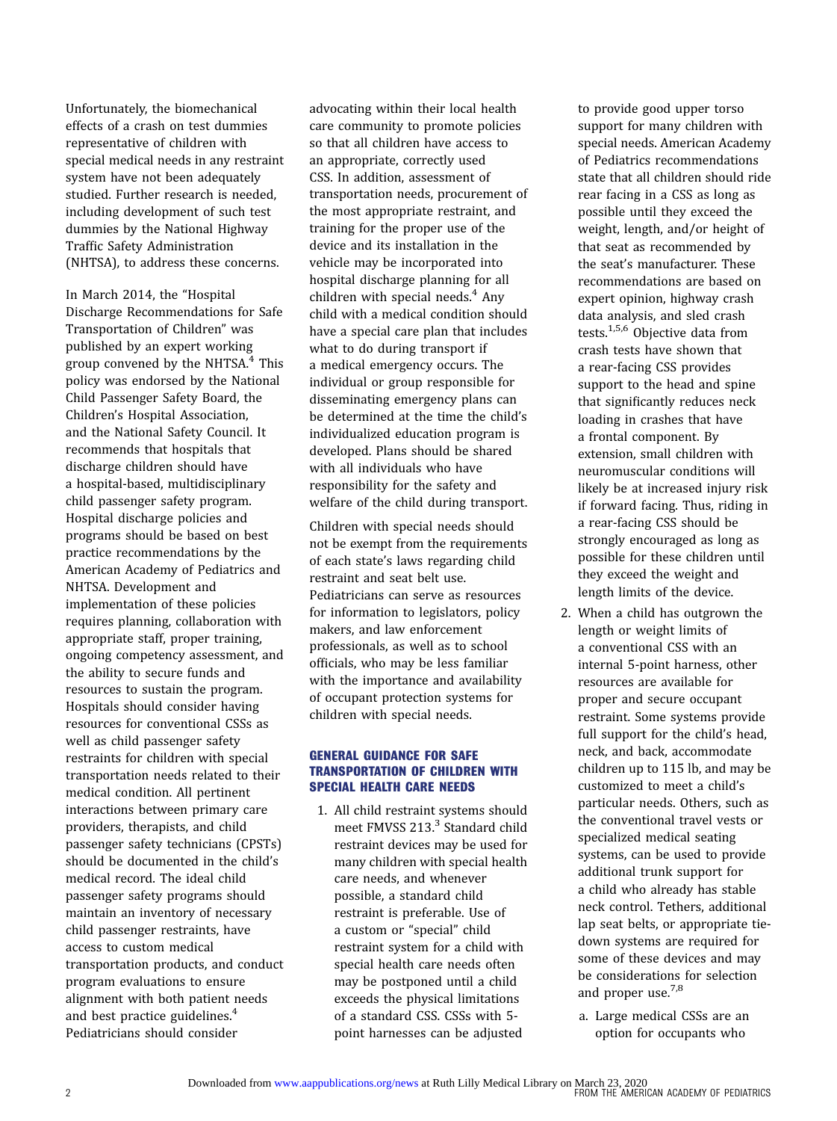Unfortunately, the biomechanical effects of a crash on test dummies representative of children with special medical needs in any restraint system have not been adequately studied. Further research is needed, including development of such test dummies by the National Highway Traffic Safety Administration (NHTSA), to address these concerns.

In March 2014, the "Hospital Discharge Recommendations for Safe Transportation of Children" was published by an expert working group convened by the NHTSA.<sup>[4](#page-6-0)</sup> This policy was endorsed by the National Child Passenger Safety Board, the Children's Hospital Association, and the National Safety Council. It recommends that hospitals that discharge children should have a hospital-based, multidisciplinary child passenger safety program. Hospital discharge policies and programs should be based on best practice recommendations by the American Academy of Pediatrics and NHTSA. Development and implementation of these policies requires planning, collaboration with appropriate staff, proper training, ongoing competency assessment, and the ability to secure funds and resources to sustain the program. Hospitals should consider having resources for conventional CSSs as well as child passenger safety restraints for children with special transportation needs related to their medical condition. All pertinent interactions between primary care providers, therapists, and child passenger safety technicians (CPSTs) should be documented in the child's medical record. The ideal child passenger safety programs should maintain an inventory of necessary child passenger restraints, have access to custom medical transportation products, and conduct program evaluations to ensure alignment with both patient needs and best practice guidelines.<sup>[4](#page-6-0)</sup> Pediatricians should consider

advocating within their local health care community to promote policies so that all children have access to an appropriate, correctly used CSS. In addition, assessment of transportation needs, procurement of the most appropriate restraint, and training for the proper use of the device and its installation in the vehicle may be incorporated into hospital discharge planning for all children with special needs. $4$  Any child with a medical condition should have a special care plan that includes what to do during transport if a medical emergency occurs. The individual or group responsible for disseminating emergency plans can be determined at the time the child's individualized education program is developed. Plans should be shared with all individuals who have responsibility for the safety and welfare of the child during transport.

Children with special needs should not be exempt from the requirements of each state's laws regarding child restraint and seat belt use. Pediatricians can serve as resources for information to legislators, policy makers, and law enforcement professionals, as well as to school officials, who may be less familiar with the importance and availability of occupant protection systems for children with special needs.

### **GENERAL GUIDANCE FOR SAFE TRANSPORTATION OF CHILDREN WITH SPECIAL HEALTH CARE NEEDS**

SPECIAL HEALTH CARE NEEDS 1. All child restraint systems should meet FMVSS 21[3](#page-6-0).<sup>3</sup> Standard child restraint devices may be used for many children with special health care needs, and whenever possible, a standard child restraint is preferable. Use of a custom or "special" child restraint system for a child with special health care needs often may be postponed until a child exceeds the physical limitations of a standard CSS. CSSs with 5 point harnesses can be adjusted

to provide good upper torso support for many children with special needs. American Academy of Pediatrics recommendations state that all children should ride rear facing in a CSS as long as possible until they exceed the weight, length, and/or height of that seat as recommended by the seat's manufacturer. These recommendations are based on expert opinion, highway crash data analysis, and sled crash tests.[1,5,6](#page-6-0) Objective data from crash tests have shown that a rear-facing CSS provides support to the head and spine that significantly reduces neck loading in crashes that have a frontal component. By extension, small children with neuromuscular conditions will likely be at increased injury risk if forward facing. Thus, riding in a rear-facing CSS should be strongly encouraged as long as possible for these children until they exceed the weight and length limits of the device.

- 2. When a child has outgrown the length or weight limits of a conventional CSS with an internal 5-point harness, other resources are available for proper and secure occupant restraint. Some systems provide full support for the child's head, neck, and back, accommodate children up to 115 lb, and may be customized to meet a child's particular needs. Others, such as the conventional travel vests or specialized medical seating systems, can be used to provide additional trunk support for a child who already has stable neck control. Tethers, additional lap seat belts, or appropriate tiedown systems are required for some of these devices and may be considerations for selection and proper use.<sup>[7](#page-6-0),[8](#page-6-0)</sup>
	- a. Large medical CSSs are an option for occupants who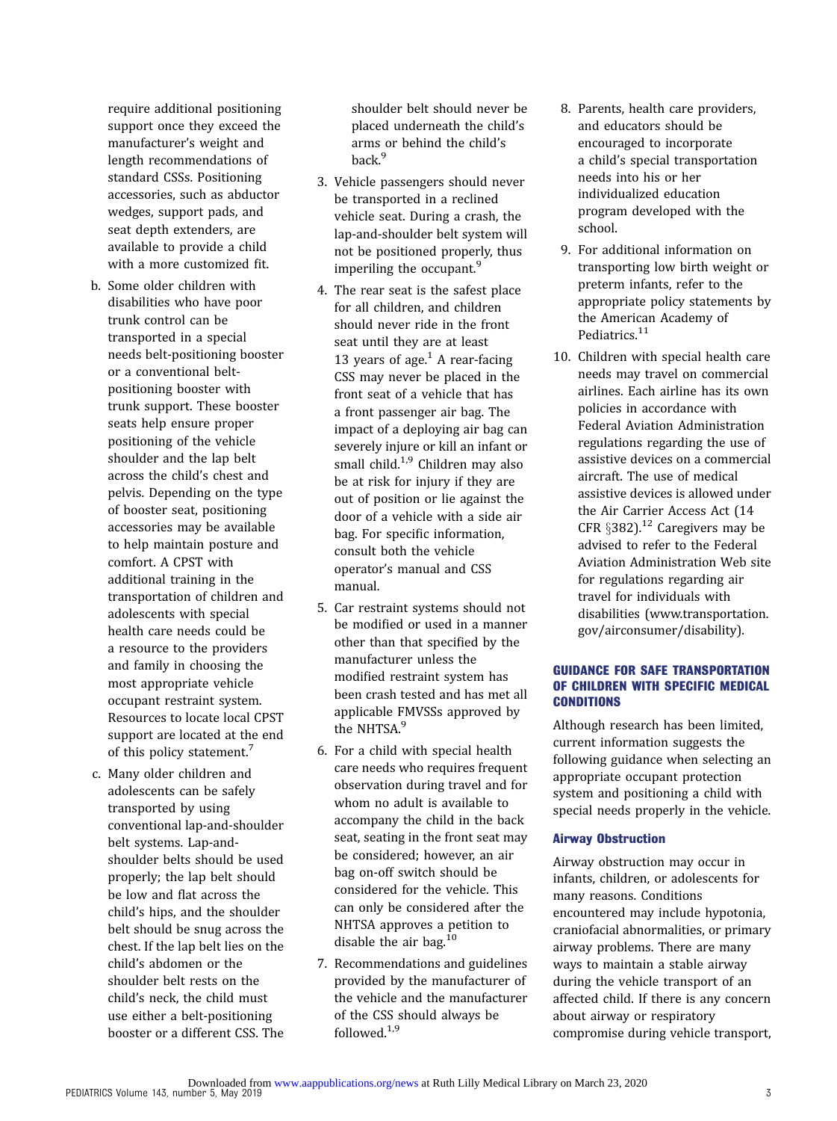require additional positioning support once they exceed the manufacturer's weight and length recommendations of standard CSSs. Positioning accessories, such as abductor wedges, support pads, and seat depth extenders, are available to provide a child with a more customized fit.

- b. Some older children with disabilities who have poor trunk control can be transported in a special needs belt-positioning booster or a conventional beltpositioning booster with trunk support. These booster seats help ensure proper positioning of the vehicle shoulder and the lap belt across the child's chest and pelvis. Depending on the type of booster seat, positioning accessories may be available to help maintain posture and comfort. A CPST with additional training in the transportation of children and adolescents with special health care needs could be a resource to the providers and family in choosing the most appropriate vehicle occupant restraint system. Resources to locate local CPST support are located at the end of this policy statement.<sup>[7](#page-6-0)</sup>
- c. Many older children and adolescents can be safely transported by using conventional lap-and-shoulder belt systems. Lap-andshoulder belts should be used properly; the lap belt should be low and flat across the child's hips, and the shoulder belt should be snug across the chest. If the lap belt lies on the child's abdomen or the shoulder belt rests on the child's neck, the child must use either a belt-positioning booster or a different CSS. The

shoulder belt should never be placed underneath the child's arms or behind the child's back.[9](#page-6-0)

- 3. Vehicle passengers should never be transported in a reclined vehicle seat. During a crash, the lap-and-shoulder belt system will not be positioned properly, thus imperiling the occupant.<sup>[9](#page-6-0)</sup>
- 4. The rear seat is the safest place for all children, and children should never ride in the front seat until they are at least [1](#page-6-0)3 years of age. $<sup>1</sup>$  A rear-facing</sup> CSS may never be placed in the front seat of a vehicle that has a front passenger air bag. The impact of a deploying air bag can severely injure or kill an infant or small child.<sup>[1,9](#page-6-0)</sup> Children may also be at risk for injury if they are out of position or lie against the door of a vehicle with a side air bag. For specific information, consult both the vehicle operator's manual and CSS manual.
- 5. Car restraint systems should not be modified or used in a manner other than that specified by the manufacturer unless the modified restraint system has been crash tested and has met all applicable FMVSSs approved by the NHTSA.<sup>[9](#page-6-0)</sup>
- 6. For a child with special health care needs who requires frequent observation during travel and for whom no adult is available to accompany the child in the back seat, seating in the front seat may be considered; however, an air bag on-off switch should be considered for the vehicle. This can only be considered after the NHTSA approves a petition to disable the air bag. $10$
- 7. Recommendations and guidelines provided by the manufacturer of the vehicle and the manufacturer of the CSS should always be followed. $1,9$  $1,9$
- 8. Parents, health care providers, and educators should be encouraged to incorporate a child's special transportation needs into his or her individualized education program developed with the school.
- 9. For additional information on transporting low birth weight or preterm infants, refer to the appropriate policy statements by the American Academy of Pediatrics.<sup>[11](#page-6-0)</sup>
- 10. Children with special health care needs may travel on commercial airlines. Each airline has its own policies in accordance with Federal Aviation Administration regulations regarding the use of assistive devices on a commercial aircraft. The use of medical assistive devices is allowed under the Air Carrier Access Act (14 CFR  $\S 382$ ).<sup>[12](#page-6-0)</sup> Caregivers may be advised to refer to the Federal Aviation Administration Web site for regulations regarding air travel for individuals with disabilities [\(www.transportation.](http://www.transportation.gov/airconsumer/disability) [gov/airconsumer/disability](http://www.transportation.gov/airconsumer/disability)).

### **GUIDANCE FOR SAFE TRANSPORTATION** OF CHILDREN WITH SPECIFIC MEDICAL **CONDITIONS**

Conditions Although research has been limited, current information suggests the following guidance when selecting an appropriate occupant protection system and positioning a child with special needs properly in the vehicle.

## Airway Obstruction

Airway obstruction may occur in infants, children, or adolescents for many reasons. Conditions encountered may include hypotonia, craniofacial abnormalities, or primary airway problems. There are many ways to maintain a stable airway during the vehicle transport of an affected child. If there is any concern about airway or respiratory compromise during vehicle transport,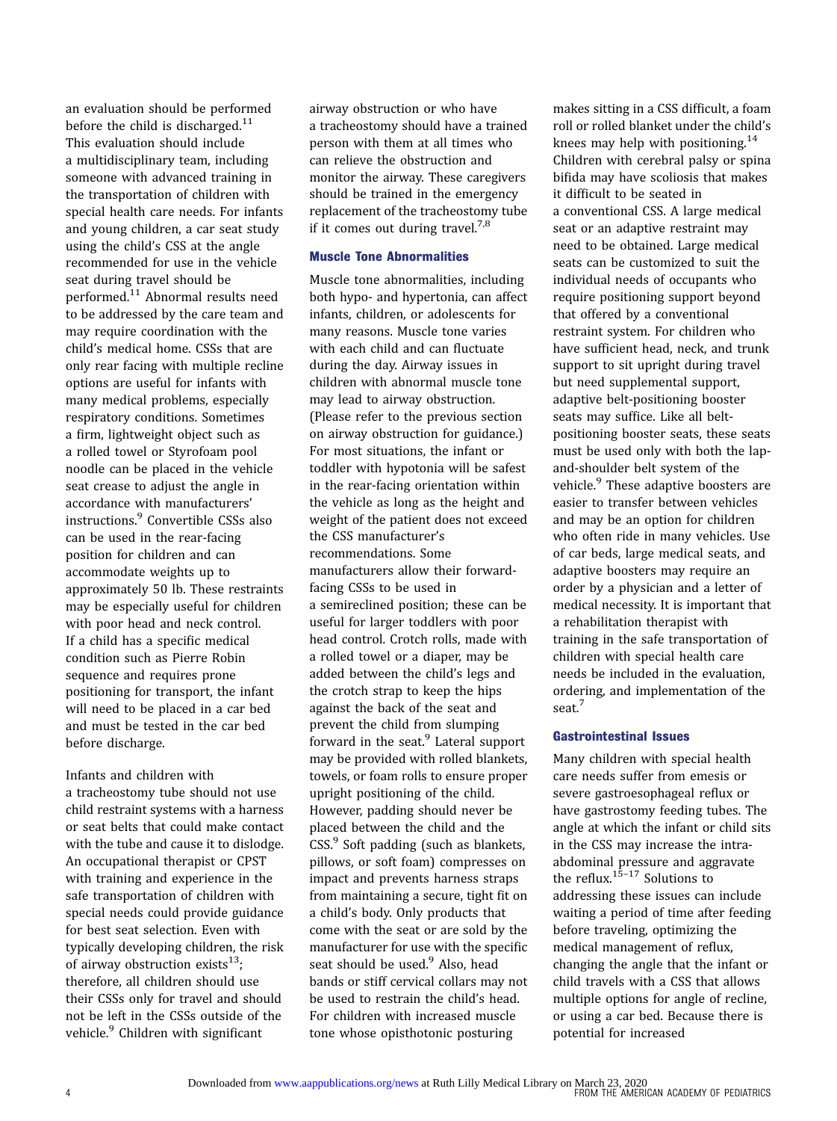an evaluation should be performed before the child is discharged. $11$ This evaluation should include a multidisciplinary team, including someone with advanced training in the transportation of children with special health care needs. For infants and young children, a car seat study using the child's CSS at the angle recommended for use in the vehicle seat during travel should be performed.[11](#page-6-0) Abnormal results need to be addressed by the care team and may require coordination with the child's medical home. CSSs that are only rear facing with multiple recline options are useful for infants with many medical problems, especially respiratory conditions. Sometimes a firm, lightweight object such as a rolled towel or Styrofoam pool noodle can be placed in the vehicle seat crease to adjust the angle in accordance with manufacturers' instructions.[9](#page-6-0) Convertible CSSs also can be used in the rear-facing position for children and can accommodate weights up to approximately 50 lb. These restraints may be especially useful for children with poor head and neck control. If a child has a specific medical condition such as Pierre Robin sequence and requires prone positioning for transport, the infant will need to be placed in a car bed and must be tested in the car bed before discharge.

Infants and children with a tracheostomy tube should not use child restraint systems with a harness or seat belts that could make contact with the tube and cause it to dislodge. An occupational therapist or CPST with training and experience in the safe transportation of children with special needs could provide guidance for best seat selection. Even with typically developing children, the risk of airway obstruction exists $^{13}$  $^{13}$  $^{13}$ ; therefore, all children should use their CSSs only for travel and should not be left in the CSSs outside of the vehicle.<sup>[9](#page-6-0)</sup> Children with significant

airway obstruction or who have a tracheostomy should have a trained person with them at all times who can relieve the obstruction and monitor the airway. These caregivers should be trained in the emergency replacement of the tracheostomy tube if it comes out during travel.<sup>[7,8](#page-6-0)</sup>

Muscle Tone Abnormalities Muscle tone abnormalities, including both hypo- and hypertonia, can affect infants, children, or adolescents for many reasons. Muscle tone varies with each child and can fluctuate during the day. Airway issues in children with abnormal muscle tone may lead to airway obstruction. (Please refer to the previous section on airway obstruction for guidance.) For most situations, the infant or toddler with hypotonia will be safest in the rear-facing orientation within the vehicle as long as the height and weight of the patient does not exceed the CSS manufacturer's recommendations. Some manufacturers allow their forwardfacing CSSs to be used in a semireclined position; these can be useful for larger toddlers with poor head control. Crotch rolls, made with a rolled towel or a diaper, may be added between the child's legs and the crotch strap to keep the hips against the back of the seat and prevent the child from slumping forward in the seat.<sup>[9](#page-6-0)</sup> Lateral support may be provided with rolled blankets, towels, or foam rolls to ensure proper upright positioning of the child. However, padding should never be placed between the child and the CSS.<sup>[9](#page-6-0)</sup> Soft padding (such as blankets, pillows, or soft foam) compresses on impact and prevents harness straps from maintaining a secure, tight fit on a child's body. Only products that come with the seat or are sold by the manufacturer for use with the specific seat should be used.<sup>[9](#page-6-0)</sup> Also, head bands or stiff cervical collars may not be used to restrain the child's head. For children with increased muscle tone whose opisthotonic posturing

makes sitting in a CSS difficult, a foam roll or rolled blanket under the child's knees may help with positioning. $14$ Children with cerebral palsy or spina bifida may have scoliosis that makes it difficult to be seated in a conventional CSS. A large medical seat or an adaptive restraint may need to be obtained. Large medical seats can be customized to suit the individual needs of occupants who require positioning support beyond that offered by a conventional restraint system. For children who have sufficient head, neck, and trunk support to sit upright during travel but need supplemental support, adaptive belt-positioning booster seats may suffice. Like all beltpositioning booster seats, these seats must be used only with both the lapand-shoulder belt system of the vehicle.<sup>[9](#page-6-0)</sup> These adaptive boosters are easier to transfer between vehicles and may be an option for children who often ride in many vehicles. Use of car beds, large medical seats, and adaptive boosters may require an order by a physician and a letter of medical necessity. It is important that a rehabilitation therapist with training in the safe transportation of children with special health care needs be included in the evaluation, ordering, and implementation of the seat<sup>[7](#page-6-0)</sup>

Gastrointestinal Issues Many children with special health care needs suffer from emesis or severe gastroesophageal reflux or have gastrostomy feeding tubes. The angle at which the infant or child sits in the CSS may increase the intraabdominal pressure and aggravate the reflux.<sup>[15](#page-6-0)-[17](#page-6-0)</sup> Solutions to addressing these issues can include waiting a period of time after feeding before traveling, optimizing the medical management of reflux, changing the angle that the infant or child travels with a CSS that allows multiple options for angle of recline, or using a car bed. Because there is potential for increased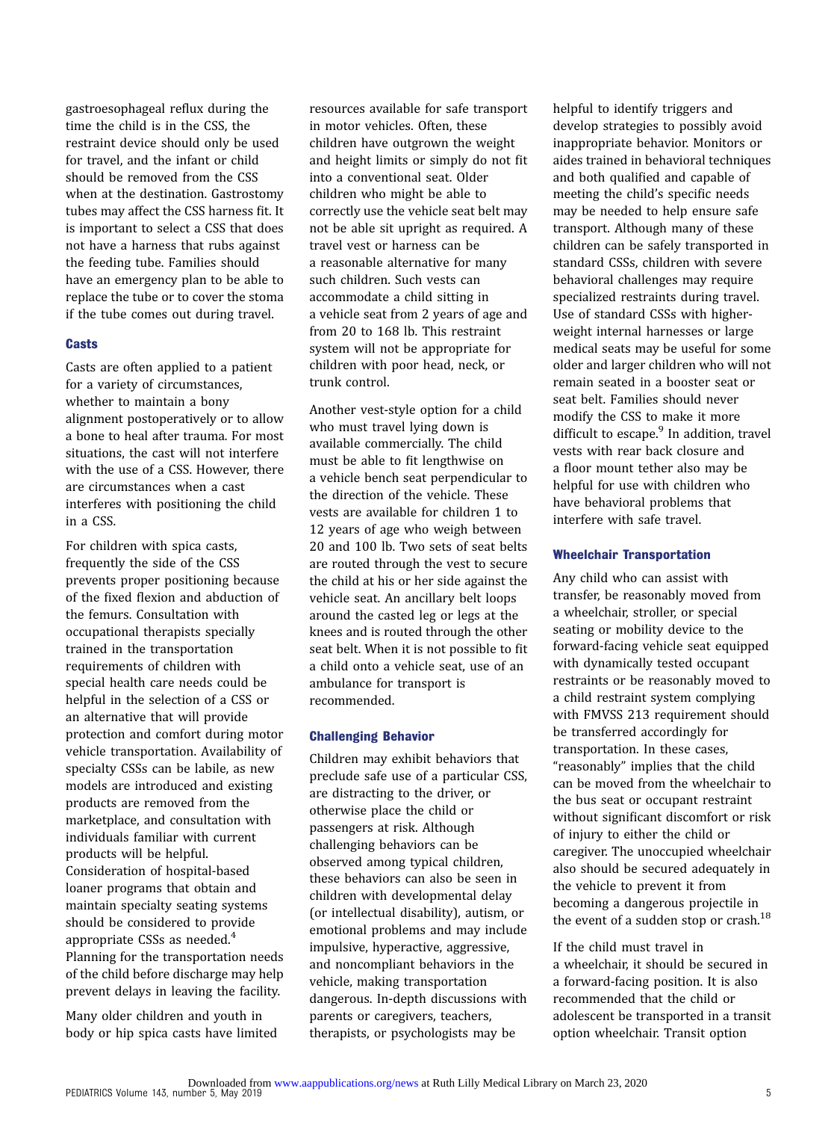gastroesophageal reflux during the time the child is in the CSS, the restraint device should only be used for travel, and the infant or child should be removed from the CSS when at the destination. Gastrostomy tubes may affect the CSS harness fit. It is important to select a CSS that does not have a harness that rubs against the feeding tube. Families should have an emergency plan to be able to replace the tube or to cover the stoma if the tube comes out during travel.

Casts Casts are often applied to a patient for a variety of circumstances, whether to maintain a bony alignment postoperatively or to allow a bone to heal after trauma. For most situations, the cast will not interfere with the use of a CSS. However, there are circumstances when a cast interferes with positioning the child in a CSS.

For children with spica casts, frequently the side of the CSS prevents proper positioning because of the fixed flexion and abduction of the femurs. Consultation with occupational therapists specially trained in the transportation requirements of children with special health care needs could be helpful in the selection of a CSS or an alternative that will provide protection and comfort during motor vehicle transportation. Availability of specialty CSSs can be labile, as new models are introduced and existing products are removed from the marketplace, and consultation with individuals familiar with current products will be helpful. Consideration of hospital-based loaner programs that obtain and maintain specialty seating systems should be considered to provide appropriate CSSs as needed.[4](#page-6-0) Planning for the transportation needs of the child before discharge may help prevent delays in leaving the facility.

Many older children and youth in body or hip spica casts have limited resources available for safe transport in motor vehicles. Often, these children have outgrown the weight and height limits or simply do not fit into a conventional seat. Older children who might be able to correctly use the vehicle seat belt may not be able sit upright as required. A travel vest or harness can be a reasonable alternative for many such children. Such vests can accommodate a child sitting in a vehicle seat from 2 years of age and from 20 to 168 lb. This restraint system will not be appropriate for children with poor head, neck, or trunk control.

Another vest-style option for a child who must travel lying down is available commercially. The child must be able to fit lengthwise on a vehicle bench seat perpendicular to the direction of the vehicle. These vests are available for children 1 to 12 years of age who weigh between 20 and 100 lb. Two sets of seat belts are routed through the vest to secure the child at his or her side against the vehicle seat. An ancillary belt loops around the casted leg or legs at the knees and is routed through the other seat belt. When it is not possible to fit a child onto a vehicle seat, use of an ambulance for transport is recommended.

challenging Behavior<br>Behavior Children may exhibit behaviors that preclude safe use of a particular CSS, are distracting to the driver, or otherwise place the child or passengers at risk. Although challenging behaviors can be observed among typical children, these behaviors can also be seen in children with developmental delay (or intellectual disability), autism, or emotional problems and may include impulsive, hyperactive, aggressive, and noncompliant behaviors in the vehicle, making transportation dangerous. In-depth discussions with parents or caregivers, teachers, therapists, or psychologists may be

helpful to identify triggers and develop strategies to possibly avoid inappropriate behavior. Monitors or aides trained in behavioral techniques and both qualified and capable of meeting the child's specific needs may be needed to help ensure safe transport. Although many of these children can be safely transported in standard CSSs, children with severe behavioral challenges may require specialized restraints during travel. Use of standard CSSs with higherweight internal harnesses or large medical seats may be useful for some older and larger children who will not remain seated in a booster seat or seat belt. Families should never modify the CSS to make it more difficult to escape.<sup>[9](#page-6-0)</sup> In addition, travel vests with rear back closure and a floor mount tether also may be helpful for use with children who have behavioral problems that interfere with safe travel.

Wheelchair Transportation Any child who can assist with transfer, be reasonably moved from a wheelchair, stroller, or special seating or mobility device to the forward-facing vehicle seat equipped with dynamically tested occupant restraints or be reasonably moved to a child restraint system complying with FMVSS 213 requirement should be transferred accordingly for transportation. In these cases, "reasonably" implies that the child can be moved from the wheelchair to the bus seat or occupant restraint without significant discomfort or risk of injury to either the child or caregiver. The unoccupied wheelchair also should be secured adequately in the vehicle to prevent it from becoming a dangerous projectile in the event of a sudden stop or crash. $^{18}$ 

If the child must travel in a wheelchair, it should be secured in a forward-facing position. It is also recommended that the child or adolescent be transported in a transit option wheelchair. Transit option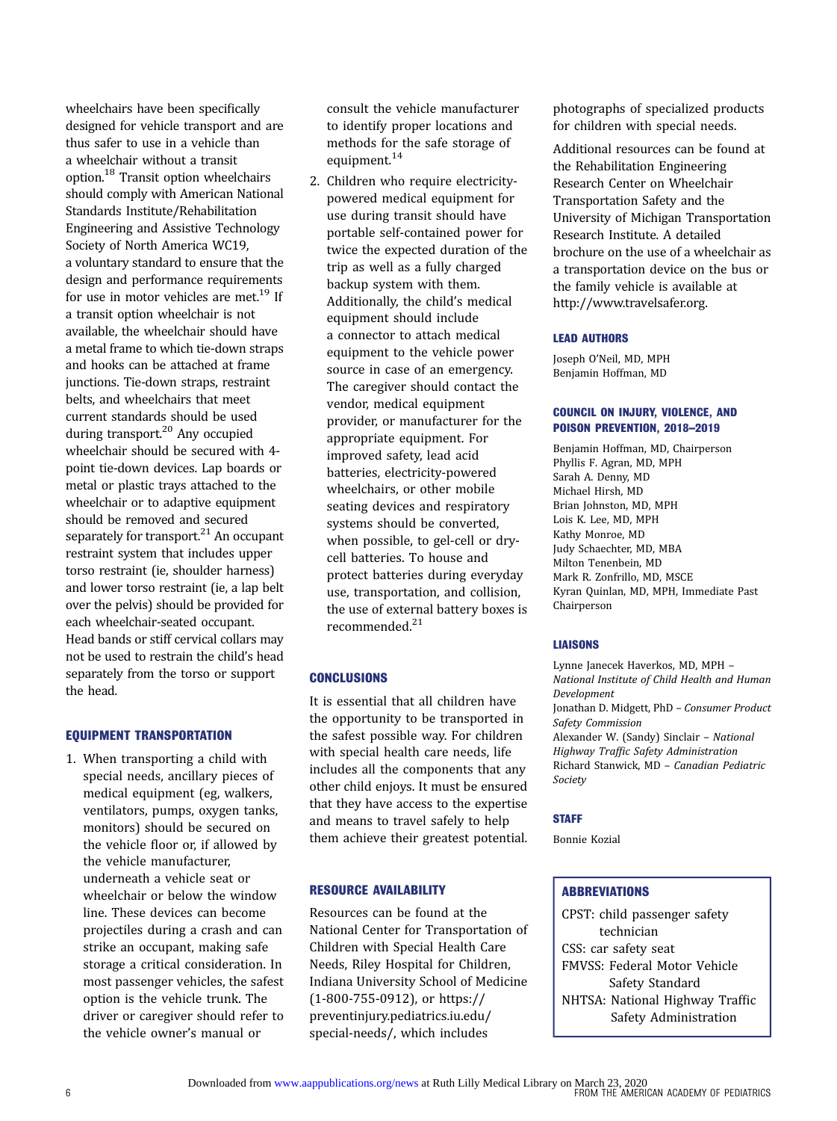wheelchairs have been specifically designed for vehicle transport and are thus safer to use in a vehicle than a wheelchair without a transit option.[18](#page-6-0) Transit option wheelchairs should comply with American National Standards Institute/Rehabilitation Engineering and Assistive Technology Society of North America WC19, a voluntary standard to ensure that the design and performance requirements for use in motor vehicles are met.<sup>19</sup> If a transit option wheelchair is not available, the wheelchair should have a metal frame to which tie-down straps and hooks can be attached at frame junctions. Tie-down straps, restraint belts, and wheelchairs that meet current standards should be used during transport.<sup>20</sup> Any occupied wheelchair should be secured with 4 point tie-down devices. Lap boards or metal or plastic trays attached to the wheelchair or to adaptive equipment should be removed and secured separately for transport. $^{21}$  An occupant restraint system that includes upper torso restraint (ie, shoulder harness) and lower torso restraint (ie, a lap belt over the pelvis) should be provided for each wheelchair-seated occupant. Head bands or stiff cervical collars may not be used to restrain the child's head separately from the torso or support the head.

EQUIPMENT TRANSPORTATION 1. When transporting a child with special needs, ancillary pieces of medical equipment (eg, walkers, ventilators, pumps, oxygen tanks, monitors) should be secured on the vehicle floor or, if allowed by the vehicle manufacturer, underneath a vehicle seat or wheelchair or below the window line. These devices can become projectiles during a crash and can strike an occupant, making safe storage a critical consideration. In most passenger vehicles, the safest option is the vehicle trunk. The driver or caregiver should refer to the vehicle owner's manual or

consult the vehicle manufacturer to identify proper locations and methods for the safe storage of equipment.<sup>[14](#page-6-0)</sup>

2. Children who require electricitypowered medical equipment for use during transit should have portable self-contained power for twice the expected duration of the trip as well as a fully charged backup system with them. Additionally, the child's medical equipment should include a connector to attach medical equipment to the vehicle power source in case of an emergency. The caregiver should contact the vendor, medical equipment provider, or manufacturer for the appropriate equipment. For improved safety, lead acid batteries, electricity-powered wheelchairs, or other mobile seating devices and respiratory systems should be converted, when possible, to gel-cell or drycell batteries. To house and protect batteries during everyday use, transportation, and collision, the use of external battery boxes is recommended.<sup>[21](#page-6-0)</sup>

### **CONCLUSIONS**

CONCLUSIONS It is essential that all children have the opportunity to be transported in the safest possible way. For children with special health care needs, life includes all the components that any other child enjoys. It must be ensured that they have access to the expertise and means to travel safely to help them achieve their greatest potential.

### **RESOURCE AVAILABILITY**

RESOURCE AVAILABILITY Resources can be found at the National Center for Transportation of Children with Special Health Care Needs, Riley Hospital for Children, Indiana University School of Medicine (1-800-755-0912), or [https://](https://preventinjury.pediatrics.iu.edu/special-needs/) [preventinjury.pediatrics.iu.edu/](https://preventinjury.pediatrics.iu.edu/special-needs/) [special-needs/](https://preventinjury.pediatrics.iu.edu/special-needs/), which includes

photographs of specialized products for children with special needs.

Additional resources can be found at the Rehabilitation Engineering Research Center on Wheelchair Transportation Safety and the University of Michigan Transportation Research Institute. A detailed brochure on the use of a wheelchair as a transportation device on the bus or the family vehicle is available at [http://www.travelsafer.org.](http://www.travelsafer.org)

### **LEAD AUTHORS**

.<br>Joseph O'Neil, MD, MPH Benjamin Hoffman, MD

### **COUNCIL ON INJURY. VIOLENCE. AND** POISON PREVENTION, 2018–2019

Benjamin Hoffman, MD, Chairperson Phyllis F. Agran, MD, MPH Sarah A. Denny, MD Michael Hirsh, MD Brian Johnston, MD, MPH Lois K. Lee, MD, MPH Kathy Monroe, MD Judy Schaechter, MD, MBA Milton Tenenbein, MD Mark R. Zonfrillo, MD, MSCE Kyran Quinlan, MD, MPH, Immediate Past Chairperson

\_\_\_\_\_\_\_\_\_<br>Lynne Janecek Haverkos, MD, MPH – National Institute of Child Health and Human Development Jonathan D. Midgett, PhD – Consumer Product Safety Commission Alexander W. (Sandy) Sinclair – National Highway Traffic Safety Administration Richard Stanwick, MD – Canadian Pediatric Society

### **STAFF**

STAFF Bonnie Kozial

ABBREVIATIONS CPST: child passenger safety technician CSS: car safety seat FMVSS: Federal Motor Vehicle Safety Standard NHTSA: National Highway Traffic Safety Administration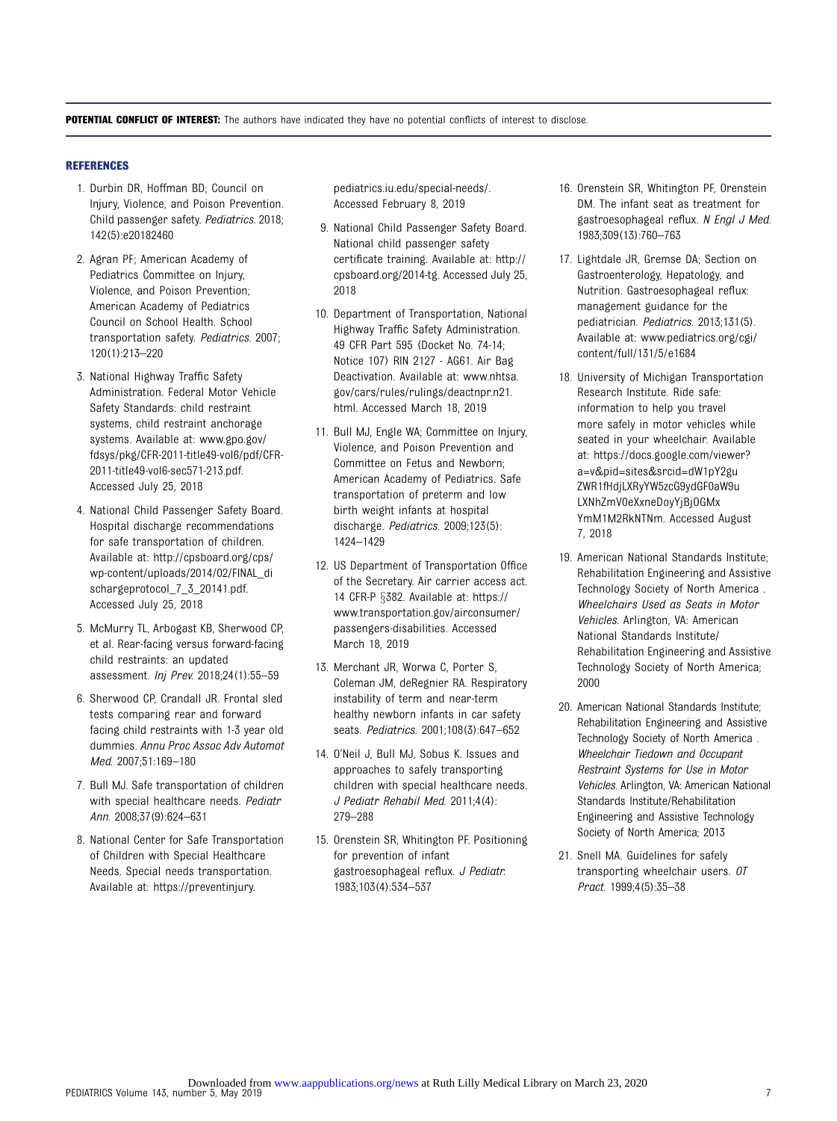### <span id="page-6-0"></span>**REFERENCES**

- 1. Durbin DR, Hoffman BD; Council on Injury, Violence, and Poison Prevention. Child passenger safety. Pediatrics. 2018; 142(5):e20182460
- 2. Agran PF; American Academy of Pediatrics Committee on Injury, Violence, and Poison Prevention; American Academy of Pediatrics Council on School Health. School transportation safety. Pediatrics. 2007; 120(1):213–220
- 3. National Highway Traffic Safety Administration. Federal Motor Vehicle Safety Standards: child restraint systems, child restraint anchorage systems. Available at: [www.gpo.gov/](http://www.gpo.gov/fdsys/pkg/CFR-2011-title49-vol6/pdf/CFR-2011-title49-vol6-sec571-213.pdf) [fdsys/pkg/CFR-2011-title49-vol6/pdf/CFR-](http://www.gpo.gov/fdsys/pkg/CFR-2011-title49-vol6/pdf/CFR-2011-title49-vol6-sec571-213.pdf)[2011-title49-vol6-sec571-213.pdf.](http://www.gpo.gov/fdsys/pkg/CFR-2011-title49-vol6/pdf/CFR-2011-title49-vol6-sec571-213.pdf) Accessed July 25, 2018
- 4. National Child Passenger Safety Board. Hospital discharge recommendations for safe transportation of children. Available at: [http://cpsboard.org/cps/](http://cpsboard.org/cps/wp-content/uploads/2014/02/FINAL_dischargeprotocol_7_3_20141.pdf) [wp-content/uploads/2014/02/FINAL\\_di](http://cpsboard.org/cps/wp-content/uploads/2014/02/FINAL_dischargeprotocol_7_3_20141.pdf) [schargeprotocol\\_7\\_3\\_20141.pdf.](http://cpsboard.org/cps/wp-content/uploads/2014/02/FINAL_dischargeprotocol_7_3_20141.pdf) Accessed July 25, 2018
- 5. McMurry TL, Arbogast KB, Sherwood CP, et al. Rear-facing versus forward-facing child restraints: an updated assessment. Inj Prev. 2018;24(1):55–59
- 6. Sherwood CP, Crandall JR. Frontal sled tests comparing rear and forward facing child restraints with 1-3 year old dummies. Annu Proc Assoc Adv Automot Med. 2007;51:169–180
- 7. Bull MJ. Safe transportation of children with special healthcare needs. Pediatr Ann. 2008;37(9):624–631
- 8. National Center for Safe Transportation of Children with Special Healthcare Needs. Special needs transportation. Available at: [https://preventinjury.](https://preventinjury.pediatrics.iu.edu/special-needs/)

[pediatrics.iu.edu/special-needs/.](https://preventinjury.pediatrics.iu.edu/special-needs/) Accessed February 8, 2019

- 9. National Child Passenger Safety Board. National child passenger safety certificate training. Available at: [http://](http://cpsboard.org/2014-tg) [cpsboard.org/2014-tg.](http://cpsboard.org/2014-tg) Accessed July 25, 2018
- 10. Department of Transportation, National Highway Traffic Safety Administration. 49 CFR Part 595 (Docket No. 74-14; Notice 107) RIN 2127 - AG61. Air Bag Deactivation. Available at: [www.nhtsa.](www.nhtsa.gov/cars/rules/rulings/deactnpr.n21.html) [gov/cars/rules/rulings/deactnpr.n21.](www.nhtsa.gov/cars/rules/rulings/deactnpr.n21.html) [html.](www.nhtsa.gov/cars/rules/rulings/deactnpr.n21.html) Accessed March 18, 2019
- 11. Bull MJ, Engle WA; Committee on Injury, Violence, and Poison Prevention and Committee on Fetus and Newborn; American Academy of Pediatrics. Safe transportation of preterm and low birth weight infants at hospital discharge. Pediatrics. 2009;123(5): 1424–1429
- 12. US Department of Transportation Office of the Secretary. Air carrier access act. 14 CFR-P §382. Available at: [https://](https://www.transportation.gov/airconsumer/passengers-disabilities) [www.transportation.gov/airconsumer/](https://www.transportation.gov/airconsumer/passengers-disabilities) [passengers-disabilities](https://www.transportation.gov/airconsumer/passengers-disabilities). Accessed March 18, 2019
- 13. Merchant JR, Worwa C, Porter S, Coleman JM, deRegnier RA. Respiratory instability of term and near-term healthy newborn infants in car safety seats. Pediatrics. 2001;108(3):647–652
- 14. O'Neil J, Bull MJ, Sobus K. Issues and approaches to safely transporting children with special healthcare needs. J Pediatr Rehabil Med. 2011;4(4): 279–288
- 15. Orenstein SR, Whitington PF. Positioning for prevention of infant gastroesophageal reflux. J Pediatr. 1983;103(4):534–537
- 16. Orenstein SR, Whitington PF, Orenstein DM. The infant seat as treatment for gastroesophageal reflux. N Engl J Med. 1983;309(13):760–763
- 17. Lightdale JR, Gremse DA; Section on Gastroenterology, Hepatology, and Nutrition. Gastroesophageal reflux: management guidance for the pediatrician. Pediatrics. 2013;131(5). Available at: [www.pediatrics.org/cgi/](http://www.pediatrics.org/cgi/content/full/131/5/e1684) [content/full/131/5/e1684](http://www.pediatrics.org/cgi/content/full/131/5/e1684)
- 18. University of Michigan Transportation Research Institute. Ride safe: information to help you travel more safely in motor vehicles while seated in your wheelchair. Available at: [https://docs.google.com/viewer?](https://docs.google.com/viewer?a=v&pid=sites&srcid=dW1pY2guZWR1fHdjLXRyYW5zcG9ydGF0aW9uLXNhZmV0eXxneDoyYjBjOGMxYmM1M2RkNTNm) [a=v&pid=sites&srcid=dW1pY2gu](https://docs.google.com/viewer?a=v&pid=sites&srcid=dW1pY2guZWR1fHdjLXRyYW5zcG9ydGF0aW9uLXNhZmV0eXxneDoyYjBjOGMxYmM1M2RkNTNm) [ZWR1fHdjLXRyYW5zcG9ydGF0aW9u](https://docs.google.com/viewer?a=v&pid=sites&srcid=dW1pY2guZWR1fHdjLXRyYW5zcG9ydGF0aW9uLXNhZmV0eXxneDoyYjBjOGMxYmM1M2RkNTNm) [LXNhZmV0eXxneDoyYjBjOGMx](https://docs.google.com/viewer?a=v&pid=sites&srcid=dW1pY2guZWR1fHdjLXRyYW5zcG9ydGF0aW9uLXNhZmV0eXxneDoyYjBjOGMxYmM1M2RkNTNm) [YmM1M2RkNTNm.](https://docs.google.com/viewer?a=v&pid=sites&srcid=dW1pY2guZWR1fHdjLXRyYW5zcG9ydGF0aW9uLXNhZmV0eXxneDoyYjBjOGMxYmM1M2RkNTNm) Accessed August 7, 2018
- 19. American National Standards Institute; Rehabilitation Engineering and Assistive Technology Society of North America . Wheelchairs Used as Seats in Motor Vehicles. Arlington, VA: American National Standards Institute/ Rehabilitation Engineering and Assistive Technology Society of North America; 2000
- 20. American National Standards Institute; Rehabilitation Engineering and Assistive Technology Society of North America . Wheelchair Tiedown and Occupant Restraint Systems for Use in Motor Vehicles. Arlington, VA: American National Standards Institute/Rehabilitation Engineering and Assistive Technology Society of North America; 2013
- 21. Snell MA. Guidelines for safely transporting wheelchair users. OT Pract. 1999;4(5):35–38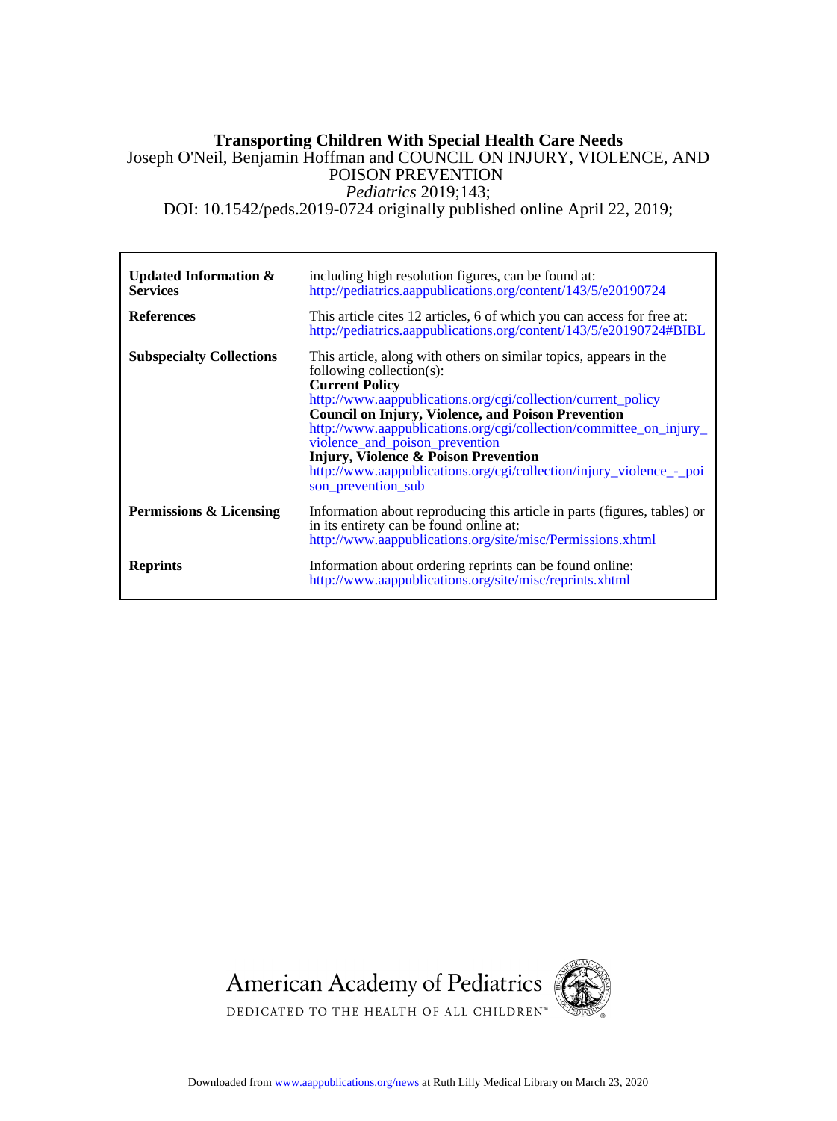### DOI: 10.1542/peds.2019-0724 originally published online April 22, 2019; *Pediatrics* 2019;143; POISON PREVENTION Joseph O'Neil, Benjamin Hoffman and COUNCIL ON INJURY, VIOLENCE, AND **Transporting Children With Special Health Care Needs**

| Updated Information $\&$<br><b>Services</b><br><b>References</b> | including high resolution figures, can be found at:<br>http://pediatrics.aappublications.org/content/143/5/e20190724<br>This article cites 12 articles, 6 of which you can access for free at:<br>http://pediatrics.aappublications.org/content/143/5/e20190724#BIBL                                                                                                                                                                                                                             |
|------------------------------------------------------------------|--------------------------------------------------------------------------------------------------------------------------------------------------------------------------------------------------------------------------------------------------------------------------------------------------------------------------------------------------------------------------------------------------------------------------------------------------------------------------------------------------|
| <b>Subspecialty Collections</b>                                  | This article, along with others on similar topics, appears in the<br>following collection(s):<br><b>Current Policy</b><br>http://www.aappublications.org/cgi/collection/current_policy<br><b>Council on Injury, Violence, and Poison Prevention</b><br>http://www.aappublications.org/cgi/collection/committee_on_injury_<br>violence_and_poison_prevention<br>Injury, Violence & Poison Prevention<br>http://www.aappublications.org/cgi/collection/injury_violence_-_poi<br>son_prevention_sub |
| Permissions & Licensing                                          | Information about reproducing this article in parts (figures, tables) or<br>in its entirety can be found online at:<br>http://www.aappublications.org/site/misc/Permissions.xhtml                                                                                                                                                                                                                                                                                                                |
| <b>Reprints</b>                                                  | Information about ordering reprints can be found online:<br>http://www.aappublications.org/site/misc/reprints.xhtml                                                                                                                                                                                                                                                                                                                                                                              |